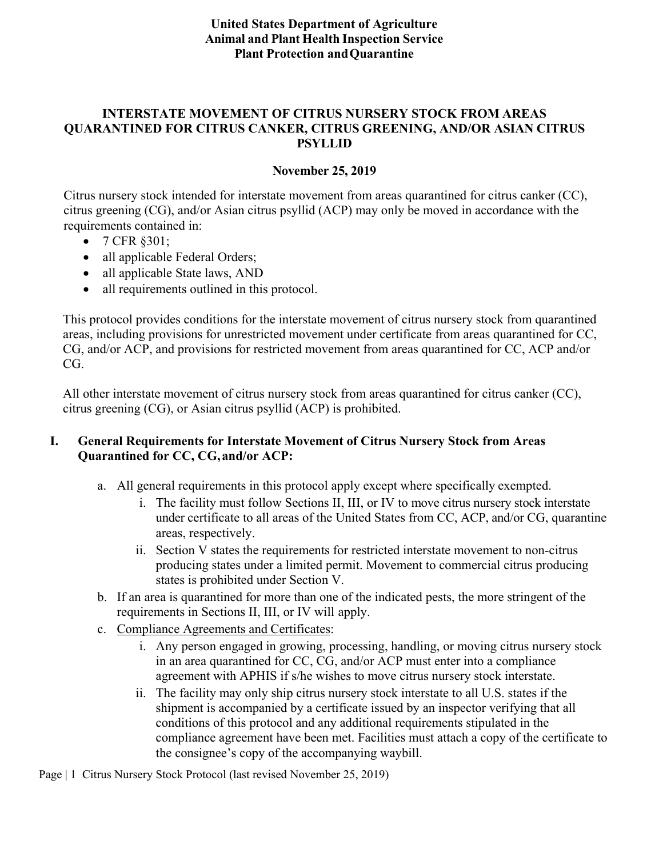### **United States Department of Agriculture Animal and Plant Health Inspection Service Plant Protection andQuarantine**

### **INTERSTATE MOVEMENT OF CITRUS [NURSERY STOCK FROM A](mailto:PPQ.Citrus.Health@aphis.usda.gov)REAS QUARANTINED FOR CITRUS CANKER, CITRUS GREENING, AND/OR ASIAN CITRUS PSYLLID**

#### **November 25, 2019**

Citrus nursery stock intended for interstate movement from areas quarantined for citrus canker (CC), citrus greening (CG), and/or Asian citrus psyllid (ACP) may only be moved in accordance with the requirements contained in:

- 7 CFR §301;
- all applicable Federal Orders;
- all applicable State laws, AND
- all requirements outlined in this protocol.

This protocol provides conditions for the interstate movement of citrus nursery stock from quarantined areas, including provisions for unrestricted movement under certificate from areas quarantined for CC, CG, and/or ACP, and provisions for restricted movement from areas quarantined for CC, ACP and/or CG.

All other interstate movement of citrus nursery stock from areas quarantined for citrus canker (CC), citrus greening (CG), or Asian citrus psyllid (ACP) is prohibited.

### **I. General Requirements for Interstate Movement of Citrus Nursery Stock from Areas Quarantined for CC, CG,and/or ACP:**

- a. All general requirements in this protocol apply except where specifically exempted.
	- i. The facility must follow Sections II, III, or IV to move citrus nursery stock interstate under certificate to all areas of the United States from CC, ACP, and/or CG, quarantine areas, respectively.
	- ii. Section V states the requirements for restricted interstate movement to non-citrus producing states under a limited permit. Movement to commercial citrus producing states is prohibited under Section V.
- b. If an area is quarantined for more than one of the indicated pests, the more stringent of the requirements in Sections II, III, or IV will apply.
- c. Compliance Agreements and Certificates:
	- i. Any person engaged in growing, processing, handling, or moving citrus nursery stock in an area quarantined for CC, CG, and/or ACP must enter into a compliance agreement with APHIS if s/he wishes to move citrus nursery stock interstate.
	- ii. The facility may only ship citrus nursery stock interstate to all U.S. states if the shipment is accompanied by a certificate issued by an inspector verifying that all conditions of this protocol and any additional requirements stipulated in the compliance agreement have been met. Facilities must attach a copy of the certificate to the consignee's copy of the accompanying waybill.

Page | 1 Citrus Nursery Stock Protocol (last revised November 25, 2019)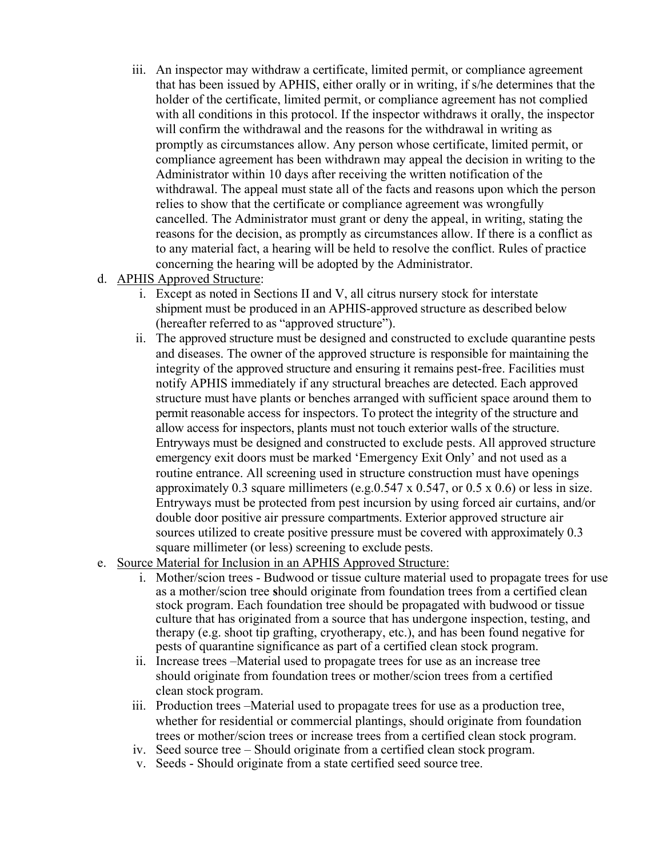- iii. An inspector may withdraw a certificate, limited permit, or compliance agreement that has been issued by APHIS, either orally or in writing, if s/he determines that the holder of the certificate, limited permit, or compliance agreement has not complied with all conditions in this protocol. If the inspector withdraws it orally, the inspector will confirm the withdrawal and the reasons for the withdrawal in writing as promptly as circumstances allow. Any person whose certificate, limited permit, or compliance agreement has been withdrawn may appeal the decision in writing to the Administrator within 10 days after receiving the written notification of the withdrawal. The appeal must state all of the facts and reasons upon which the person relies to show that the certificate or compliance agreement was wrongfully cancelled. The Administrator must grant or deny the appeal, in writing, stating the reasons for the decision, as promptly as circumstances allow. If there is a conflict as to any material fact, a hearing will be held to resolve the conflict. Rules of practice concerning the hearing will be adopted by the Administrator.
- d. APHIS Approved Structure:
	- i. Except as noted in Sections II and V, all citrus nursery stock for interstate shipment must be produced in an APHIS-approved structure as described below (hereafter referred to as "approved structure").
	- ii. The approved structure must be designed and constructed to exclude quarantine pests and diseases. The owner of the approved structure is responsible for maintaining the integrity of the approved structure and ensuring it remains pest-free. Facilities must notify APHIS immediately if any structural breaches are detected. Each approved structure must have plants or benches arranged with sufficient space around them to permit reasonable access for inspectors. To protect the integrity of the structure and allow access for inspectors, plants must not touch exterior walls of the structure. Entryways must be designed and constructed to exclude pests. All approved structure emergency exit doors must be marked 'Emergency Exit Only' and not used as a routine entrance. All screening used in structure construction must have openings approximately 0.3 square millimeters (e.g.  $0.547 \times 0.547$ , or  $0.5 \times 0.6$ ) or less in size. Entryways must be protected from pest incursion by using forced air curtains, and/or double door positive air pressure compartments. Exterior approved structure air sources utilized to create positive pressure must be covered with approximately 0.3 square millimeter (or less) screening to exclude pests.
- e. Source Material for Inclusion in an APHIS Approved Structure:
	- i. Mother/scion trees Budwood or tissue culture material used to propagate trees for use as a mother/scion tree **s**hould originate from foundation trees from a certified clean stock program. Each foundation tree should be propagated with budwood or tissue culture that has originated from a source that has undergone inspection, testing, and therapy (e.g. shoot tip grafting, cryotherapy, etc.), and has been found negative for pests of quarantine significance as part of a certified clean stock program.
	- ii. Increase trees –Material used to propagate trees for use as an increase tree should originate from foundation trees or mother/scion trees from a certified clean stock program.
	- iii. Production trees –Material used to propagate trees for use as a production tree, whether for residential or commercial plantings, should originate from foundation trees or mother/scion trees or increase trees from a certified clean stock program.
	- iv. Seed source tree Should originate from a certified clean stock program.
	- v. Seeds Should originate from a state certified seed source tree.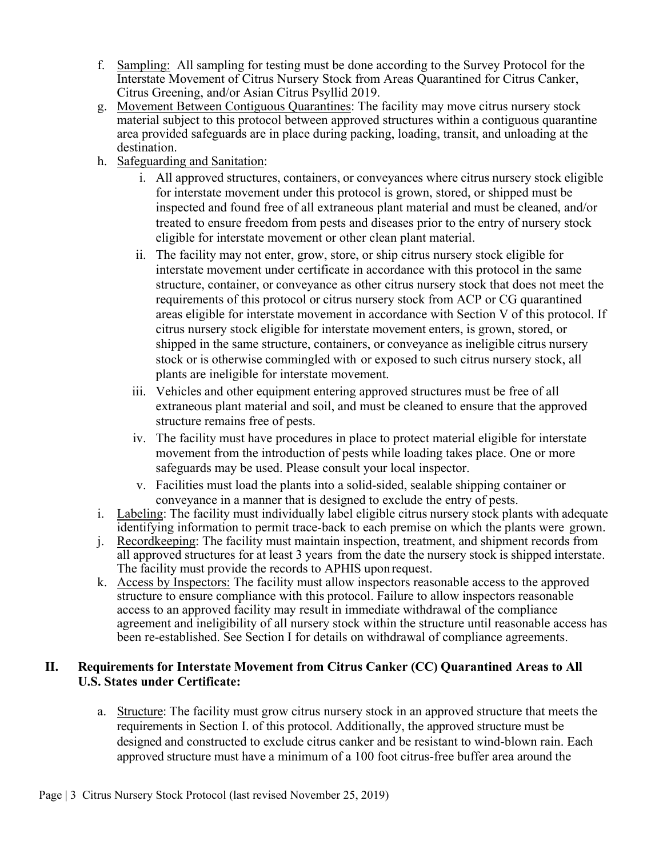- f. Sampling: All sampling for testing must be done according to the Survey Protocol for the Interstate Movement of Citrus Nursery Stock from Areas Quarantined for Citrus Canker, Citrus Greening, and/or Asian Citrus Psyllid 2019.
- g. Movement Between Contiguous Quarantines: The facility may move citrus nursery stock material subject to this protocol between approved structures within a contiguous quarantine area provided safeguards are in place during packing, loading, transit, and unloading at the destination.
- h. Safeguarding and Sanitation:
	- i. All approved structures, containers, or conveyances where citrus nursery stock eligible for interstate movement under this protocol is grown, stored, or shipped must be inspected and found free of all extraneous plant material and must be cleaned, and/or treated to ensure freedom from pests and diseases prior to the entry of nursery stock eligible for interstate movement or other clean plant material.
	- ii. The facility may not enter, grow, store, or ship citrus nursery stock eligible for interstate movement under certificate in accordance with this protocol in the same structure, container, or conveyance as other citrus nursery stock that does not meet the requirements of this protocol or citrus nursery stock from ACP or CG quarantined areas eligible for interstate movement in accordance with Section V of this protocol. If citrus nursery stock eligible for interstate movement enters, is grown, stored, or shipped in the same structure, containers, or conveyance as ineligible citrus nursery stock or is otherwise commingled with or exposed to such citrus nursery stock, all plants are ineligible for interstate movement.
	- iii. Vehicles and other equipment entering approved structures must be free of all extraneous plant material and soil, and must be cleaned to ensure that the approved structure remains free of pests.
	- iv. The facility must have procedures in place to protect material eligible for interstate movement from the introduction of pests while loading takes place. One or more safeguards may be used. Please consult your local inspector.
	- v. Facilities must load the plants into a solid-sided, sealable shipping container or conveyance in a manner that is designed to exclude the entry of pests.
- i. Labeling: The facility must individually label eligible citrus nursery stock plants with adequate identifying information to permit trace-back to each premise on which the plants were grown.
- j. Recordkeeping: The facility must maintain inspection, treatment, and shipment records from all approved structures for at least 3 years from the date the nursery stock is shipped interstate. The facility must provide the records to APHIS uponrequest.
- k. Access by Inspectors: The facility must allow inspectors reasonable access to the approved structure to ensure compliance with this protocol. Failure to allow inspectors reasonable access to an approved facility may result in immediate withdrawal of the compliance agreement and ineligibility of all nursery stock within the structure until reasonable access has been re-established. See Section I for details on withdrawal of compliance agreements.

### **II. Requirements for Interstate Movement from Citrus Canker (CC) Quarantined Areas to All U.S. States under Certificate:**

a. Structure: The facility must grow citrus nursery stock in an approved structure that meets the requirements in Section I. of this protocol. Additionally, the approved structure must be designed and constructed to exclude citrus canker and be resistant to wind-blown rain. Each approved structure must have a minimum of a 100 foot citrus-free buffer area around the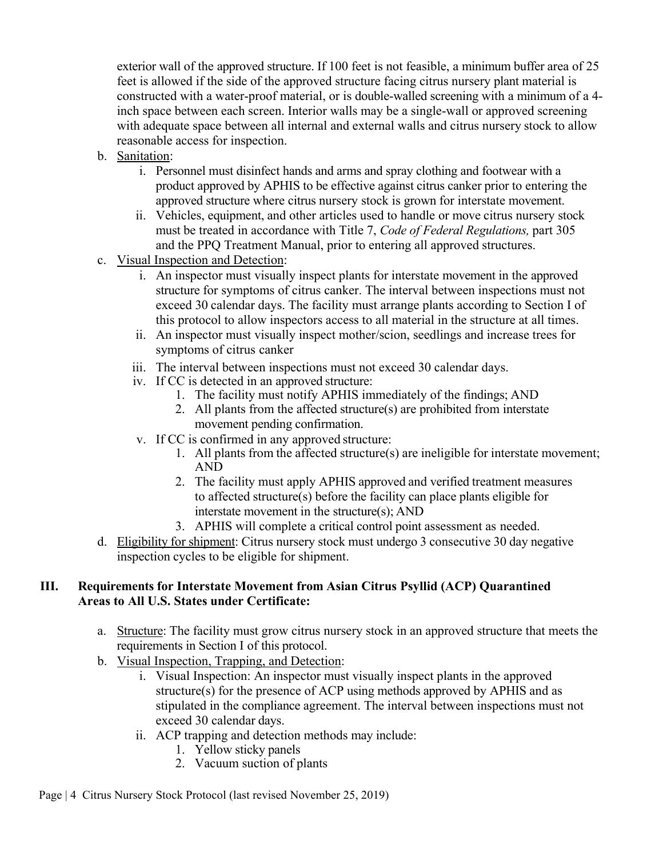exterior wall of the approved structure. If 100 feet is not feasible, a minimum buffer area of 25 feet is allowed if the side of the approved structure facing citrus nursery plant material is constructed with a water-proof material, or is double-walled screening with a minimum of a 4 inch space between each screen. Interior walls may be a single-wall or approved screening with adequate space between all internal and external walls and citrus nursery stock to allow reasonable access for inspection.

- b. Sanitation:
	- i. Personnel must disinfect hands and arms and spray clothing and footwear with a product approved by APHIS to be effective against citrus canker prior to entering the approved structure where citrus nursery stock is grown for interstate movement.
	- ii. Vehicles, equipment, and other articles used to handle or move citrus nursery stock must be treated in accordance with Title 7, *Code of Federal Regulations,* part 305 and the PPQ Treatment Manual, prior to entering all approved structures.
- c. Visual Inspection and Detection:
	- i. An inspector must visually inspect plants for interstate movement in the approved structure for symptoms of citrus canker. The interval between inspections must not exceed 30 calendar days. The facility must arrange plants according to Section I of this protocol to allow inspectors access to all material in the structure at all times.
	- ii. An inspector must visually inspect mother/scion, seedlings and increase trees for symptoms of citrus canker
	- iii. The interval between inspections must not exceed 30 calendar days.
	- iv. If CC is detected in an approved structure:
		- 1. The facility must notify APHIS immediately of the findings; AND
		- 2. All plants from the affected structure(s) are prohibited from interstate movement pending confirmation.
	- v. If CC is confirmed in any approved structure:
		- 1. All plants from the affected structure(s) are ineligible for interstate movement; AND
		- 2. The facility must apply APHIS approved and verified treatment measures to affected structure(s) before the facility can place plants eligible for interstate movement in the structure(s); AND
		- 3. APHIS will complete a critical control point assessment as needed.
- d. Eligibility for shipment: Citrus nursery stock must undergo 3 consecutive 30 day negative inspection cycles to be eligible for shipment.

# **III. Requirements for Interstate Movement from Asian Citrus Psyllid (ACP) Quarantined Areas to All U.S. States under Certificate:**

- a. Structure: The facility must grow citrus nursery stock in an approved structure that meets the requirements in Section I of this protocol.
- b. Visual Inspection, Trapping, and Detection:
	- i. Visual Inspection: An inspector must visually inspect plants in the approved structure(s) for the presence of ACP using methods approved by APHIS and as stipulated in the compliance agreement. The interval between inspections must not exceed 30 calendar days.
	- ii. ACP trapping and detection methods may include:
		- 1. Yellow sticky panels
		- 2. Vacuum suction of plants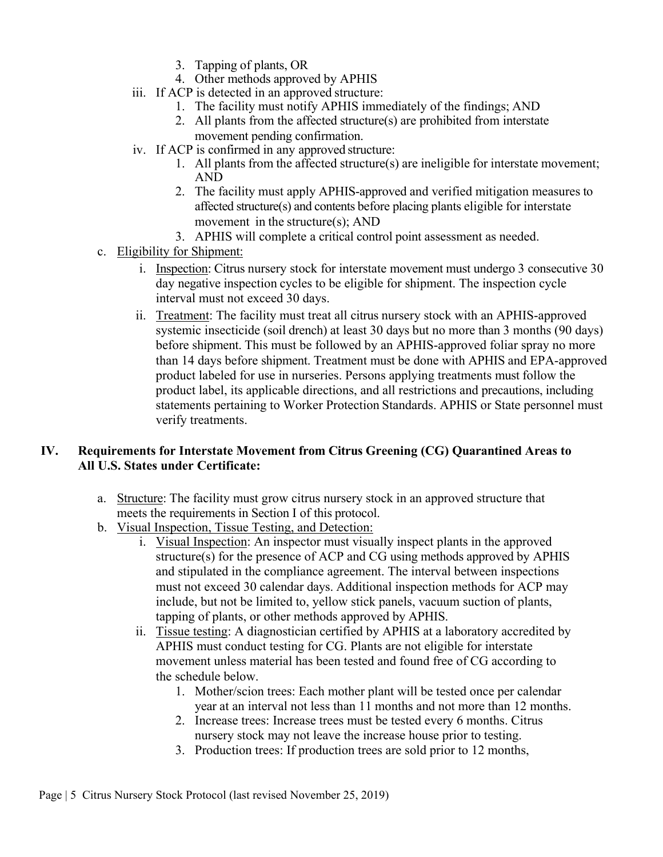- 3. Tapping of plants, OR
- 4. Other methods approved by APHIS
- iii. If ACP is detected in an approved structure:
	- 1. The facility must notify APHIS immediately of the findings; AND
	- 2. All plants from the affected structure(s) are prohibited from interstate movement pending confirmation.
- iv. If ACP is confirmed in any approved structure:
	- 1. All plants from the affected structure(s) are ineligible for interstate movement; AND
	- 2. The facility must apply APHIS-approved and verified mitigation measures to affected structure(s) and contents before placing plants eligible for interstate movement in the structure(s); AND
	- 3. APHIS will complete a critical control point assessment as needed.
- c. Eligibility for Shipment:
	- i. Inspection: Citrus nursery stock for interstate movement must undergo 3 consecutive 30 day negative inspection cycles to be eligible for shipment. The inspection cycle interval must not exceed 30 days.
	- ii. Treatment: The facility must treat all citrus nursery stock with an APHIS-approved systemic insecticide (soil drench) at least 30 days but no more than 3 months (90 days) before shipment. This must be followed by an APHIS-approved foliar spray no more than 14 days before shipment. Treatment must be done with APHIS and EPA-approved product labeled for use in nurseries. Persons applying treatments must follow the product label, its applicable directions, and all restrictions and precautions, including statements pertaining to Worker Protection Standards. APHIS or State personnel must verify treatments.

# **IV. Requirements for Interstate Movement from Citrus Greening (CG) Quarantined Areas to All U.S. States under Certificate:**

- a. Structure: The facility must grow citrus nursery stock in an approved structure that meets the requirements in Section I of this protocol.
- b. Visual Inspection, Tissue Testing, and Detection:
	- i. Visual Inspection: An inspector must visually inspect plants in the approved structure(s) for the presence of ACP and CG using methods approved by APHIS and stipulated in the compliance agreement. The interval between inspections must not exceed 30 calendar days. Additional inspection methods for ACP may include, but not be limited to, yellow stick panels, vacuum suction of plants, tapping of plants, or other methods approved by APHIS.
	- ii. Tissue testing: A diagnostician certified by APHIS at a laboratory accredited by APHIS must conduct testing for CG. Plants are not eligible for interstate movement unless material has been tested and found free of CG according to the schedule below.
		- 1. Mother/scion trees: Each mother plant will be tested once per calendar year at an interval not less than 11 months and not more than 12 months.
		- 2. Increase trees: Increase trees must be tested every 6 months. Citrus nursery stock may not leave the increase house prior to testing.
		- 3. Production trees: If production trees are sold prior to 12 months,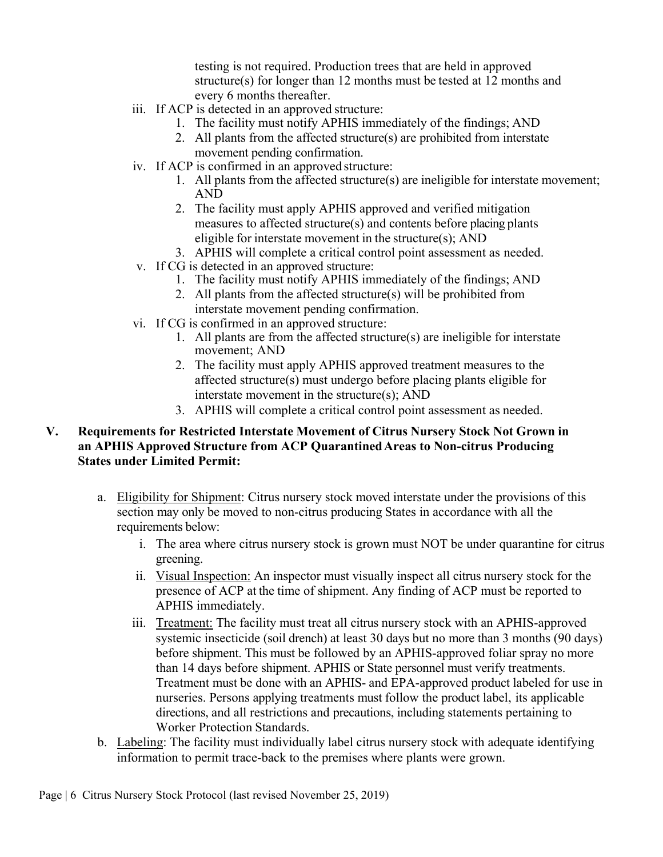testing is not required. Production trees that are held in approved structure(s) for longer than 12 months must be tested at 12 months and every 6 months thereafter.

- iii. If ACP is detected in an approved structure:
	- 1. The facility must notify APHIS immediately of the findings; AND
	- 2. All plants from the affected structure(s) are prohibited from interstate movement pending confirmation.
- iv. If ACP is confirmed in an approved structure:
	- 1. All plants from the affected structure(s) are ineligible for interstate movement; AND
	- 2. The facility must apply APHIS approved and verified mitigation measures to affected structure(s) and contents before placing plants eligible for interstate movement in the structure(s); AND
	- 3. APHIS will complete a critical control point assessment as needed.
- v. If CG is detected in an approved structure:
	- 1. The facility must notify APHIS immediately of the findings; AND
	- 2. All plants from the affected structure(s) will be prohibited from interstate movement pending confirmation.
- vi. If CG is confirmed in an approved structure:
	- 1. All plants are from the affected structure(s) are ineligible for interstate movement; AND
	- 2. The facility must apply APHIS approved treatment measures to the affected structure(s) must undergo before placing plants eligible for interstate movement in the structure(s); AND
	- 3. APHIS will complete a critical control point assessment as needed.

# **V. Requirements for Restricted Interstate Movement of Citrus Nursery Stock Not Grown in an APHIS Approved Structure from ACP QuarantinedAreas to Non-citrus Producing States under Limited Permit:**

- a. Eligibility for Shipment: Citrus nursery stock moved interstate under the provisions of this section may only be moved to non-citrus producing States in accordance with all the requirements below:
	- i. The area where citrus nursery stock is grown must NOT be under quarantine for citrus greening.
	- ii. Visual Inspection: An inspector must visually inspect all citrus nursery stock for the presence of ACP at the time of shipment. Any finding of ACP must be reported to APHIS immediately.
	- iii. Treatment: The facility must treat all citrus nursery stock with an APHIS-approved systemic insecticide (soil drench) at least 30 days but no more than 3 months (90 days) before shipment. This must be followed by an APHIS-approved foliar spray no more than 14 days before shipment. APHIS or State personnel must verify treatments. Treatment must be done with an APHIS- and EPA-approved product labeled for use in nurseries. Persons applying treatments must follow the product label, its applicable directions, and all restrictions and precautions, including statements pertaining to Worker Protection Standards.
- b. Labeling: The facility must individually label citrus nursery stock with adequate identifying information to permit trace-back to the premises where plants were grown.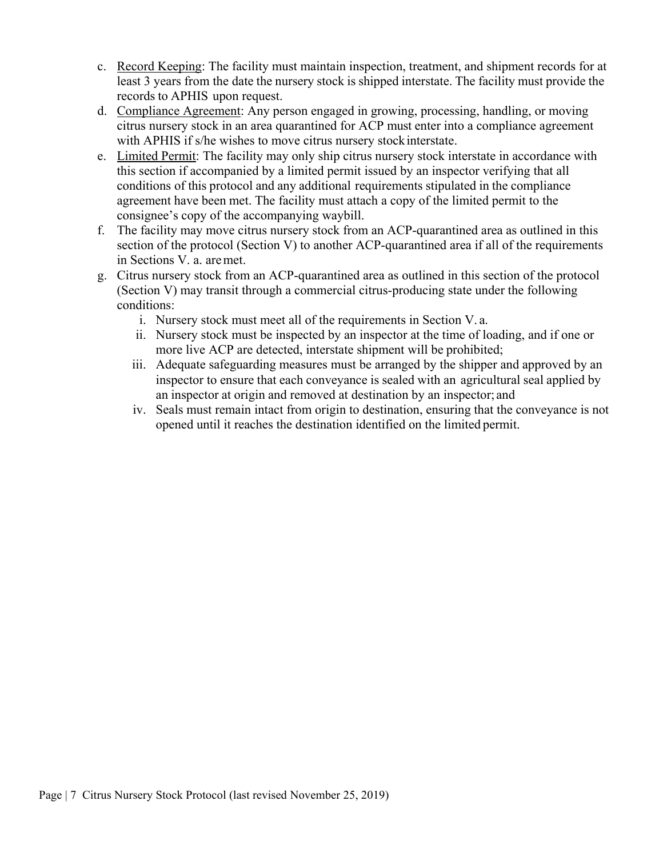- c. Record Keeping: The facility must maintain inspection, treatment, and shipment records for at least 3 years from the date the nursery stock is shipped interstate. The facility must provide the records to APHIS upon request.
- d. Compliance Agreement: Any person engaged in growing, processing, handling, or moving citrus nursery stock in an area quarantined for ACP must enter into a compliance agreement with APHIS if s/he wishes to move citrus nursery stock interstate.
- e. Limited Permit: The facility may only ship citrus nursery stock interstate in accordance with this section if accompanied by a limited permit issued by an inspector verifying that all conditions of this protocol and any additional requirements stipulated in the compliance agreement have been met. The facility must attach a copy of the limited permit to the consignee's copy of the accompanying waybill.
- f. The facility may move citrus nursery stock from an ACP-quarantined area as outlined in this section of the protocol (Section V) to another ACP-quarantined area if all of the requirements in Sections V. a. aremet.
- g. Citrus nursery stock from an ACP-quarantined area as outlined in this section of the protocol (Section V) may transit through a commercial citrus-producing state under the following conditions:
	- i. Nursery stock must meet all of the requirements in Section V. a.
	- ii. Nursery stock must be inspected by an inspector at the time of loading, and if one or more live ACP are detected, interstate shipment will be prohibited;
	- iii. Adequate safeguarding measures must be arranged by the shipper and approved by an inspector to ensure that each conveyance is sealed with an agricultural seal applied by an inspector at origin and removed at destination by an inspector; and
	- iv. Seals must remain intact from origin to destination, ensuring that the conveyance is not opened until it reaches the destination identified on the limited permit.